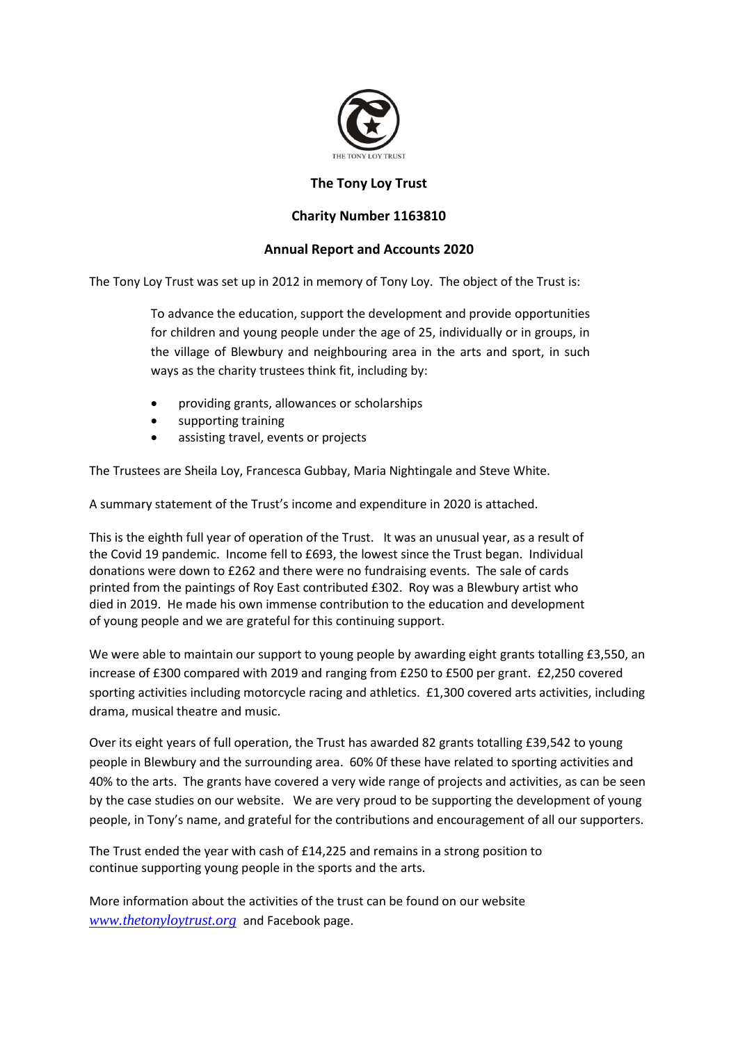

## **The Tony Loy Trust**

## **Charity Number 1163810**

## **Annual Report and Accounts 2020**

The Tony Loy Trust was set up in 2012 in memory of Tony Loy. The object of the Trust is:

To advance the education, support the development and provide opportunities for children and young people under the age of 25, individually or in groups, in the village of Blewbury and neighbouring area in the arts and sport, in such ways as the charity trustees think fit, including by:

- providing grants, allowances or scholarships
- supporting training
- assisting travel, events or projects

The Trustees are Sheila Loy, Francesca Gubbay, Maria Nightingale and Steve White.

A summary statement of the Trust's income and expenditure in 2020 is attached.

This is the eighth full year of operation of the Trust. It was an unusual year, as a result of the Covid 19 pandemic. Income fell to £693, the lowest since the Trust began. Individual donations were down to £262 and there were no fundraising events. The sale of cards printed from the paintings of Roy East contributed £302. Roy was a Blewbury artist who died in 2019. He made his own immense contribution to the education and development of young people and we are grateful for this continuing support.

We were able to maintain our support to young people by awarding eight grants totalling £3,550, an increase of £300 compared with 2019 and ranging from £250 to £500 per grant. £2,250 covered sporting activities including motorcycle racing and athletics. £1,300 covered arts activities, including drama, musical theatre and music.

Over its eight years of full operation, the Trust has awarded 82 grants totalling £39,542 to young people in Blewbury and the surrounding area. 60% 0f these have related to sporting activities and 40% to the arts. The grants have covered a very wide range of projects and activities, as can be seen by the case studies on our website. We are very proud to be supporting the development of young people, in Tony's name, and grateful for the contributions and encouragement of all our supporters.

The Trust ended the year with cash of £14,225 and remains in a strong position to continue supporting young people in the sports and the arts.

More information about the activities of the trust can be found on our website *[www.thetonyloytrust.org](http://www.thetonyloytrust.org/)* and Facebook page.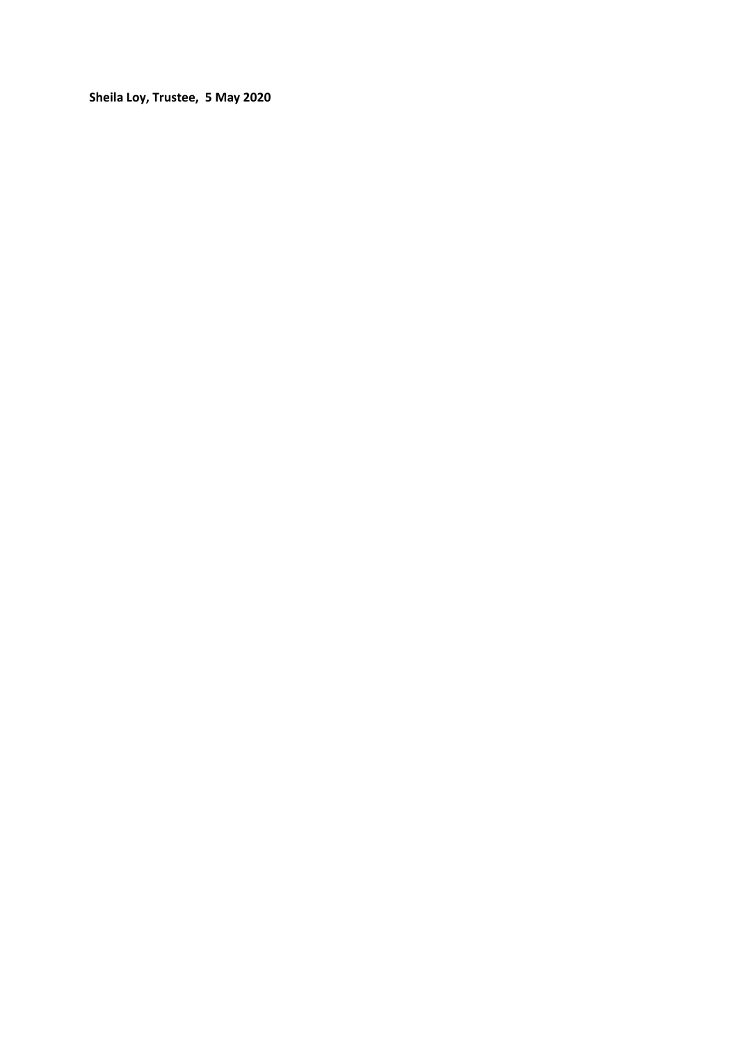**Sheila Loy, Trustee, 5 May 2020**